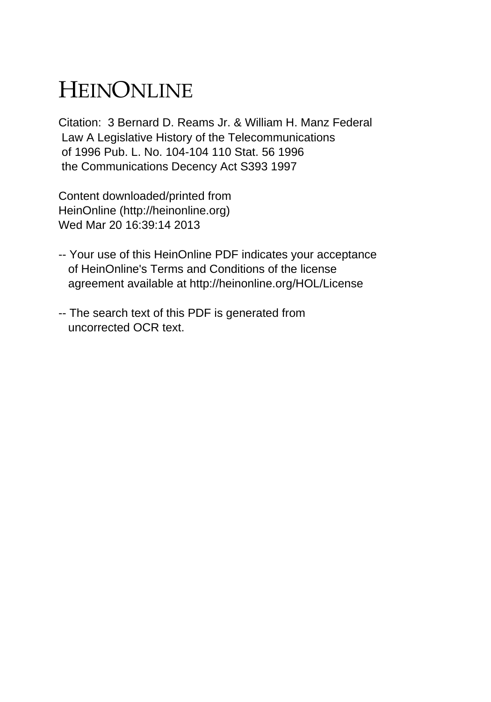## HEINONLINE

Citation: 3 Bernard D. Reams Jr. & William H. Manz Federal Law A Legislative History of the Telecommunications of 1996 Pub. L. No. 104-104 110 Stat. 56 1996 the Communications Decency Act S393 1997

Content downloaded/printed from HeinOnline (http://heinonline.org) Wed Mar 20 16:39:14 2013

- -- Your use of this HeinOnline PDF indicates your acceptance of HeinOnline's Terms and Conditions of the license agreement available at http://heinonline.org/HOL/License
- -- The search text of this PDF is generated from uncorrected OCR text.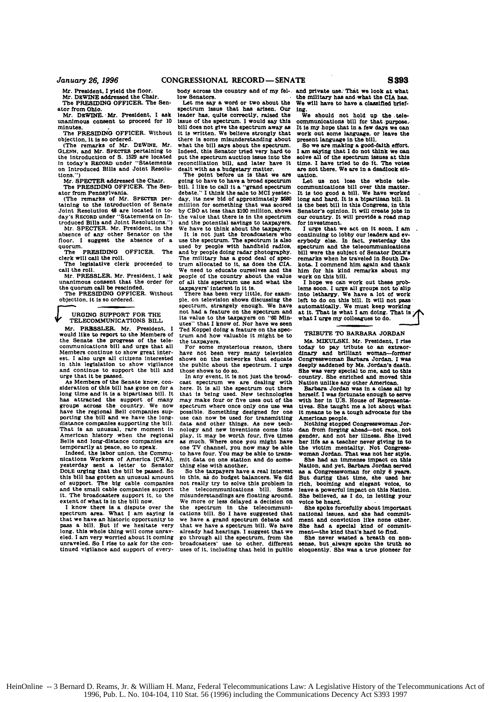Mr. President. **I** yield the floor.

Mr. DEWINE addressed the Chair. The PRESIDING OFFICER. The Senator from Ohio.

Mr. DEWINE. -Mr. President. **I** ask unanimous consent to proceed for **10** minutes.

The PRESIDING OFFICER. Without

objection, it **is so** ordered. (The remarks of Mr. **DEWINE.** Mr. **GLENN,** and Mr. SPECTER pertaining to the introduction of **S. 1529** are located in today's RECORD under "Statements on Introduced Bills and Joint Resolutions.")

Mr. SPECTER addressed the Chair. The PRESIDING OFFICER. The Senator from Pennsylvania.

(The remarks of Mr. SPECTER per-<br>taining to the introduction of Senate that Internation **48** are located in to-<br>day's RECORD under "Statements on In-

ded Bills and Joint Resolutions.")<br>Mr. SPECTER. Mr. President. in the absence of any other Senator on the absence of a<br>floor. I suggest the absence of a I suggest the absence of a quorum.

The PRESIDING OFFICER. The clerk will call the roll.

The legislative clerk proceeded to call the roll.

Mr. PRESSLER. Mr. President, I ask unanimous consent that the order for the quorum call be rescinded.<br>The **PRESIDING** OFFICER. Without

objection, it is so ordered.

## **TROINO** SUPPORT **FOR THE** V **TELECOMMUNICATIONS** BILL

Mr. PRESSLER. Mr. President, I would like to report to the Members of communications bill and urge that all Members continue to show great Inter**est. I** also urge all citizens interested in this legislation to show vigilance<br>and continue to support the bill and urge that it be passed.<br>As Members of the Senate know, con-

**As** Members of the Senate know. con- sideration of this **bill** has gone on for a long time and it **is** a bipartisan **bill.** It has attracted the support of many has attracted the support of many groups across the country. We now have the regional Bell companies sup-<br>porting the bill and we have the longdistance companies supporting the bill. That Is an unusual, rare moment in American history when the regional Belle and long-distance companies are temporarily at peace, so to speak. Indeed. the labor union, the Commu-

nications Workers **of** America **[CWA].** yesterday sent a letter to Senator<br>DOLE urging that the bill be passed. So **DOLE** urging that the **bill** be passed. So this bill has gotten an unusual amount of support. The **big** cable companies and the small cable companies support it. The broadcasters support it. to the extent, of what is in the **bill** now.

**I** know there **Is** a dispute over the spectrum area. What **I** am saying **is** that we have an historic opportunity to that we have an historic opportunity to pass a bill. But if we hesitate very long, this whole thing will come unraveled. **I** am very worried about it coming unraveled. So **I** rise to ask for the continued vigilance and support of every-

body across the country **and** of my **fol**low Senators.

Let me say a word or two about the spectrum issue that has arisen. Our leader has. quite correctly, raised the issue of the spectrum. **I** would say this bill does not give the spectrum away as It is written. We believe strongly that there is some misunderstanding about what the bill **says** about the spectrum. Indeed. this Senator tried very hard to put the spectrum auction issue into the reconciliation bill, and later have it dealt with as **a** budgetary matter.

The point before us is that we are going to have to have a broad spectrum **bill.** I like to call it a "grand spectrum debate." **I** think the sale to **MCI** yesterday, its new **bid of** approximately **\$680** million for something that was scored **by** CBO at less than **3100** million, shows the value that there is in the spectrum and the potential savings to taxpayers.

We have to think about the taxpayers. It is not just the broadcasters who use the spectrum. The spectrum **is** also used **by** people with handheld radios, and **by** people doing radar photography. The military has **a** good deal of spectrum allocated to **it,** as does the CIA. We need to educate ourselves and the people of the country about the value of **all** this spectrum use and what the

taxpayers' interest in it is. There has been very little, for exampie. on television shows discussing the spectrum, strangely enough. We have not **had** a feature on the spectrum and its value to the taxpayers on **"60** Min-utes" that I know of. Nor have we seen Ted Koppel doing a feature on the spectrum and how valuable it might be to the taxpayers.

For some mysterious reason, there have not been very many television shows on the networks that educate the public about the spectrum. **I** urge those shows to do so.

In any event, it is not just the broadcast spectrum we are dealing with here. It Is all the spectrum Out there that Is being used. New technologies may make four or five uses out of the spectrum where once only one use was possible. Something designed for use can now be used for transmitting data and other things. As new technology and new inventions come into play. it may be worth four, five **times** as much. Where once you might have one TV channel, you now may be able to have four. You may be able to transmit data on one station and do some-

thing else with another. So the taxpayers have a real interest in this, as do budget balancer. We did not really try to solve this problem in the telecommunications **bill.** Some misunderstandings are floating around. We more or less delayed a decision on the spectrum in the telecommunications **bill. So** I have suggested that we have **a** grand spectrum debate and that we have **a** spectrum bill. We have already had hearings. I suggest that we go through **all** the spectrum, from the broadcasters' use to other, different broadcasters' use to other, different uses of it, including that held in public

and private use. That we look at what the military has and what the **CIA has.** We will have to have a classified brief-

ing. We should not hold up the tele-communications **bill** for that.purpose.. It is my hope that in **a** few days we can work out some language, or leave the

present language in the bill. So we are making **a** good-faith effort. I am saying that I do not think we can solve all of the spectrum issues at this solve **all** of the spectrum issues at this time. I have tried to do It. The votes are not there. We are in **a** deadiook situation.<br>Let us not lose the whole tele-

Let us not lose the whole tele- communications bill over this matter. It is too good a **bill.** We have worked long and **hard.** It is a bipartisan **bill.** It is the best bill in this Congress, in this Senator's opinion. It will create jobs in our country. It will provide **a** road map for investment.

**I** urge that we act on it soon. **I** am erybody else. In fact, yesterday the spectrum and the telecommunications bill were the subject of Senator DOLE's remarks when he traveled in South Dakota. **I** commend him again and thank

him for his kind remarks about my work on this **bill. <sup>I</sup>**hope we can work out these prob- lems soon. **I** urge **all** groups not to **slip** into lethargy. We have a lot of work **left** to do on this **bill.** It will not pass automatically. We must keep working at It. That **is** what I am doing. That **is/4** what **I** urge my colleagues to do.

## **TRIBUTE** TO BARBARA **JORDAN**

Ms. MIKULSKI. Mr. President. **I** rise today to **pay** tribute to an extraor- dinary and brilliant woman--former Congresswoman Barbara Jordan. I was deeply saddened **by** M. Jordan's death. She was very special to **me,** and to this country. She enriched and moved this

Nation unlike any other American. Barbara Jordan was in **a** class all **by** herself. **I** was fortunate enough to **serve** with her in U.S. House of Representa-<br>tives. She taught me a lot about what<br>it means to be a tough advocate for the American people.<br>Nothing stopped Congresswoman Jor-

dan from forging ahead-not race, not gender, and not her illness. She lived gender, and not her illness. She lived her life as a teacher never giving in to the victim mentality. Not Congresswoman Jordan. That was not her style.<br>She had an immense impact on this

Nation, and yet. Barbara Jordan served as a Congresswoman for only **6** years. rich, booming and elegant voice, to leave a powerful impact on this Nation. She believed, **as I do,** In letting your voice **be** heard.

She spoke forcefully about important national issues, and she had commit-ment and conviction **like** none other. She had a special kind of commit-<br>ment-the kind that's hard to find.<br>She never wasted a breath on non-

sense, but always spoke the truth so eloquently. She was a true pioneer for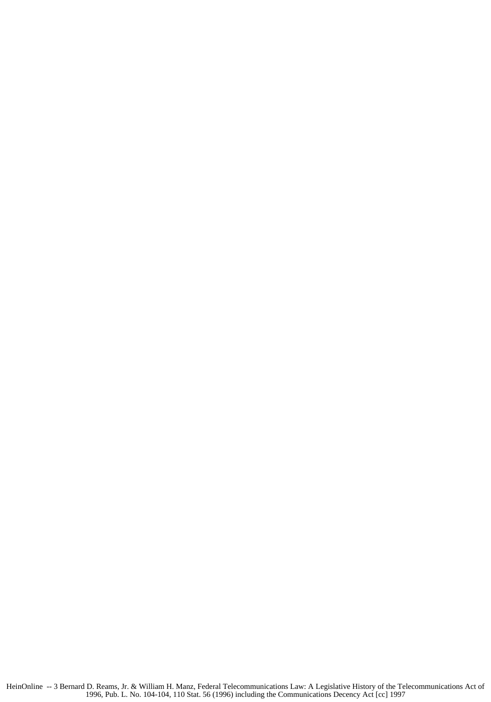HeinOnline -- 3 Bernard D. Reams, Jr. & William H. Manz, Federal Telecommunications Law: A Legislative History of the Telecommunications Act of 1996, Pub. L. No. 104-104, 110 Stat. 56 (1996) including the Communications Decency Act [cc] 1997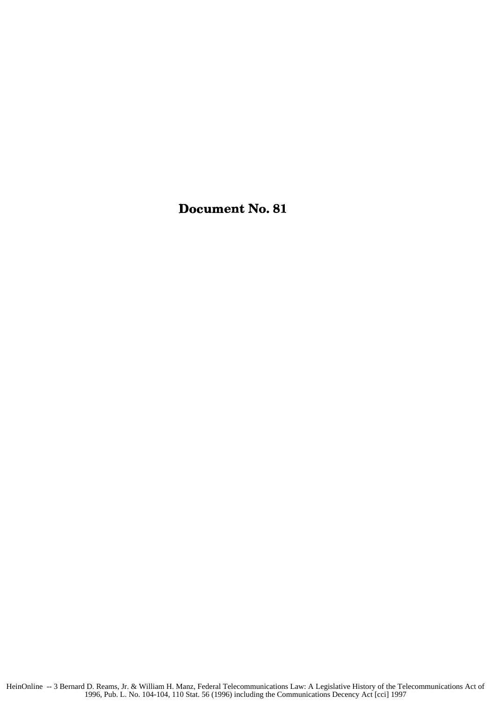Document No. **81**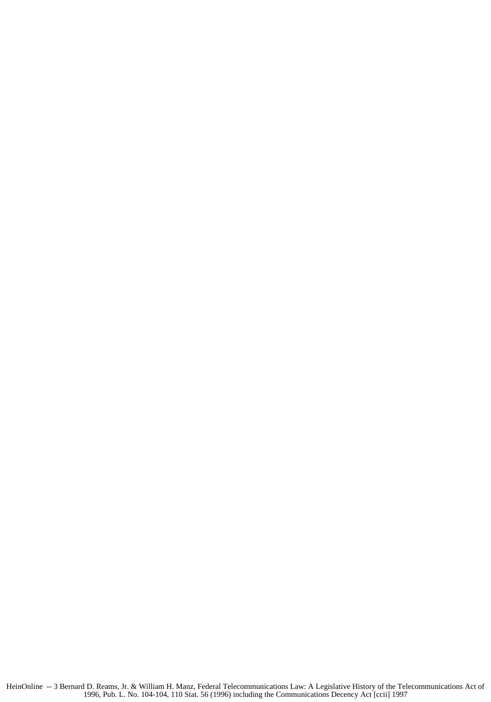HeinOnline -- 3 Bernard D. Reams, Jr. & William H. Manz, Federal Telecommunications Law: A Legislative History of the Telecommunications Act of 1996, Pub. L. No. 104-104, 110 Stat. 56 (1996) including the Communications Decency Act [ccii] 1997